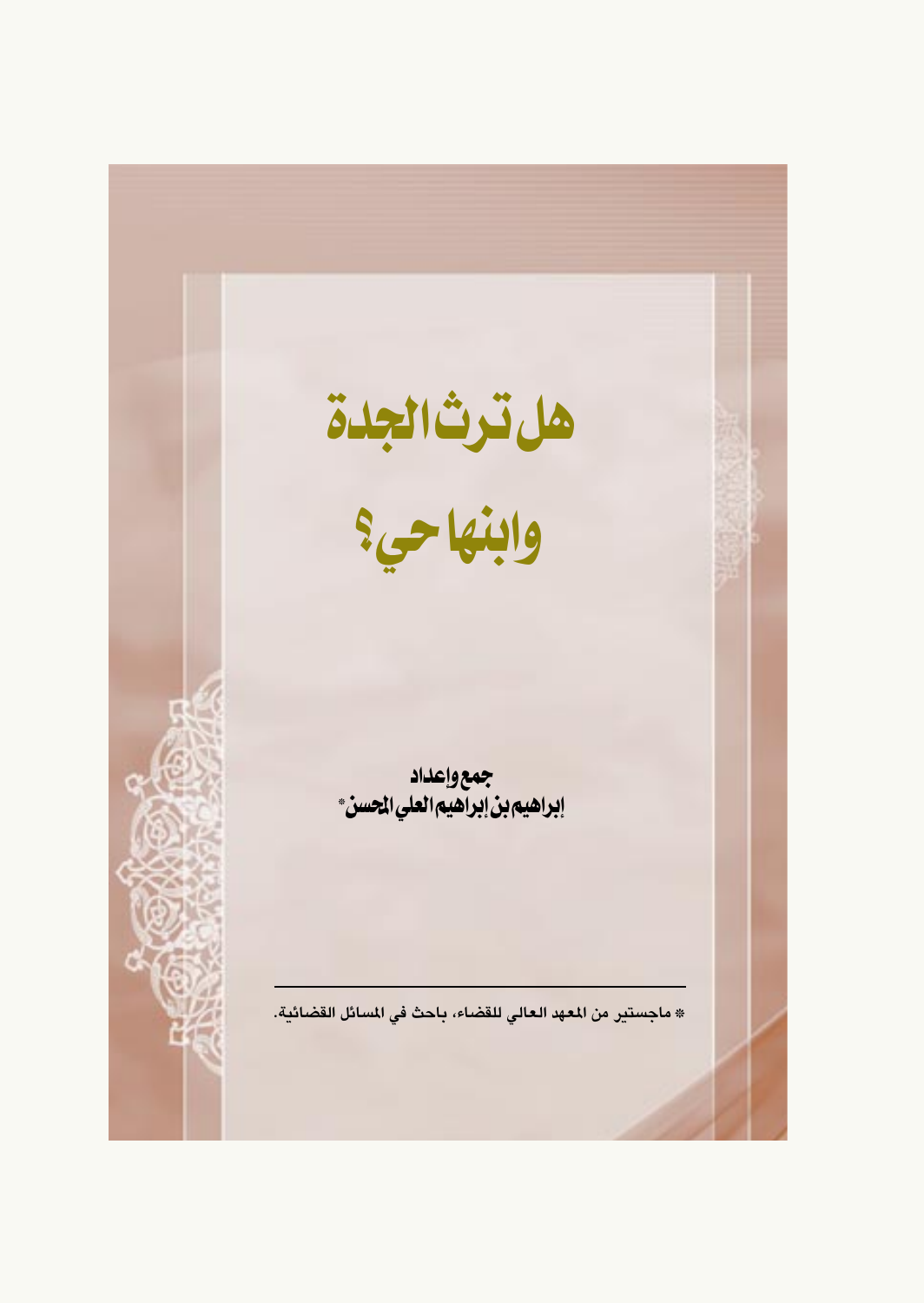هل ترث الجدة<br>وابنها حي؟ جمع وإعداد<br>إبراهيم بن إبراهيم العلي المحسن\* \* ماجستير من المعهد العالى للقضاء، باحث في المسائل القضائية.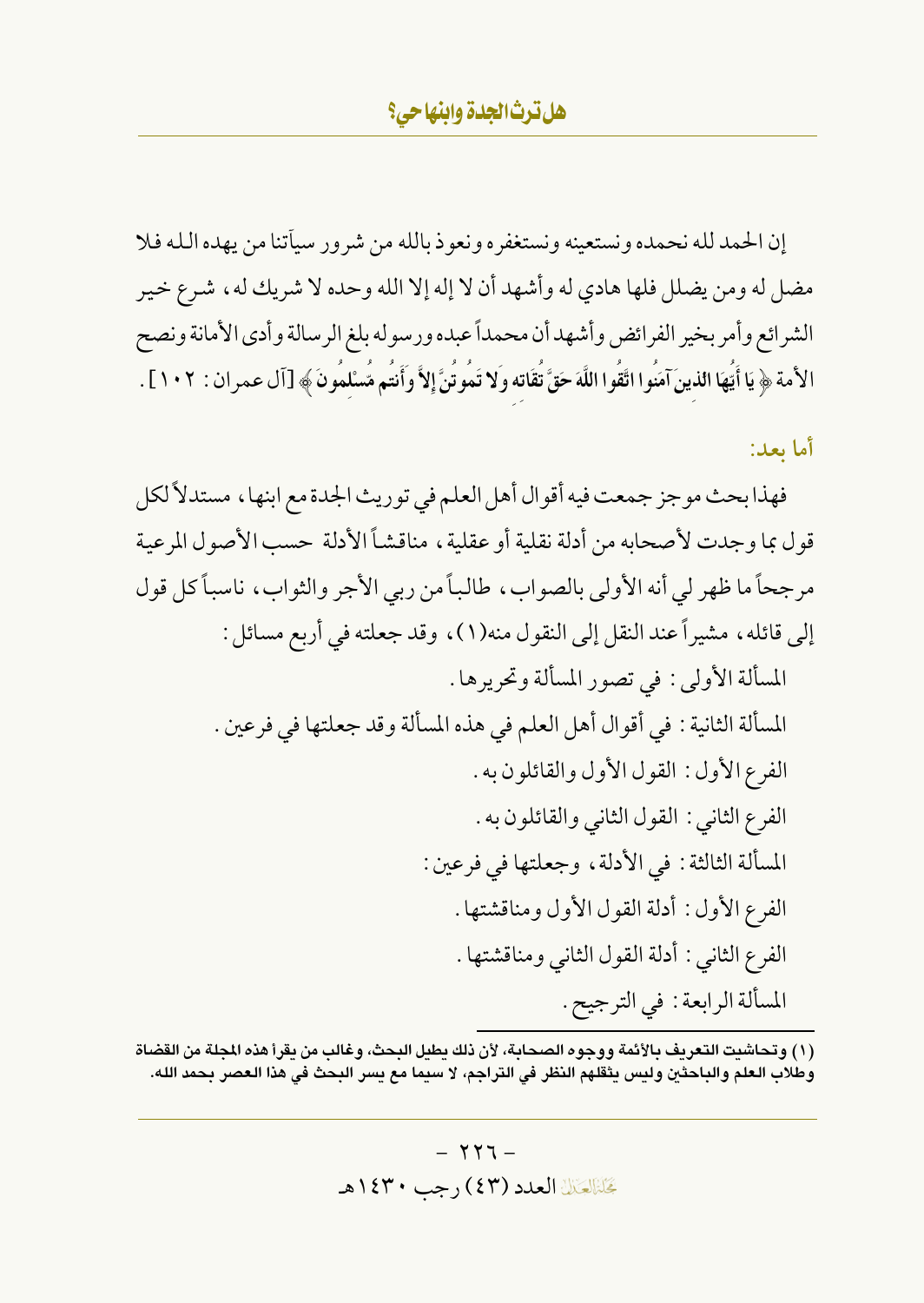إن الحمد لله نحمده ونستعينه ونستغفره ونعوذ بالله من شرور سيأتنا من يهده الله فلا مضل له ومن يضلل فلها هادي له وأشهد أن لا إله إلا الله وحده لا شريك له ، شرع خير الشرائع وأمر بخير الفرائض وأشهدأن محمداً عبده ورسوله بلغ الرسالة وأدى الأمانة ونصح الأمة ﴿ يَا أَيَّهَا الذينَ آمَنُوا اتَّقُوا اللَّهَ حَقَّ تَقَاته وَلا تَمُوتَنَّ إِلاَّ وَأَنتُم مَّسْلمُونَ ﴾ [آل عمران : ١٠٢] .

أما بعد:

فهذا بحث موجز جمعت فيه أقوال أهل العلم في توريث الجدة مع ابنها، مستدلاً لكل قول بما وجدت لأصحابه من أدلة نقلية أو عقلية ، مناقشاً الأدلة حسب الأصول المرعية مرجحاً ما ظهر لي أنه الأولى بالصواب، طالباً من ربي الأجر والثواب، ناسباً كل قول إلى قائله ، مشيراً عند النقل إلى النقول منه(١) ، وقد جعلته في أربع مسائل : المسألة الأولى : في تصور المسألة وتحريرها . المسألة الثانية : في أقوال أهل العلم في هذه المسألة وقد جعلتها في فرعين . الفرع الأول: القول الأول والقائلون به. الفرع الثاني : القول الثاني والقائلون به . المسألة الثالثة : في الأدلة ، وجعلتها في فرعين : الفرع الأول: أدلة القول الأول ومناقشتها . الفرع الثاني : أدلة القول الثاني ومناقشتها . المسألة الرابعة : في الترجيح .

(١) وتحاشيت التعريف بالأئمة ووجوه الصحابة، لأن ذلك يطيل البحث، وغالب من يقرأ هذه المجلة من القضاة وطلاب العلم والباحثين وليس يثقلهم النظر في التراجم، لا سيما مع يسر البحث في هذا العصر بحمد الله.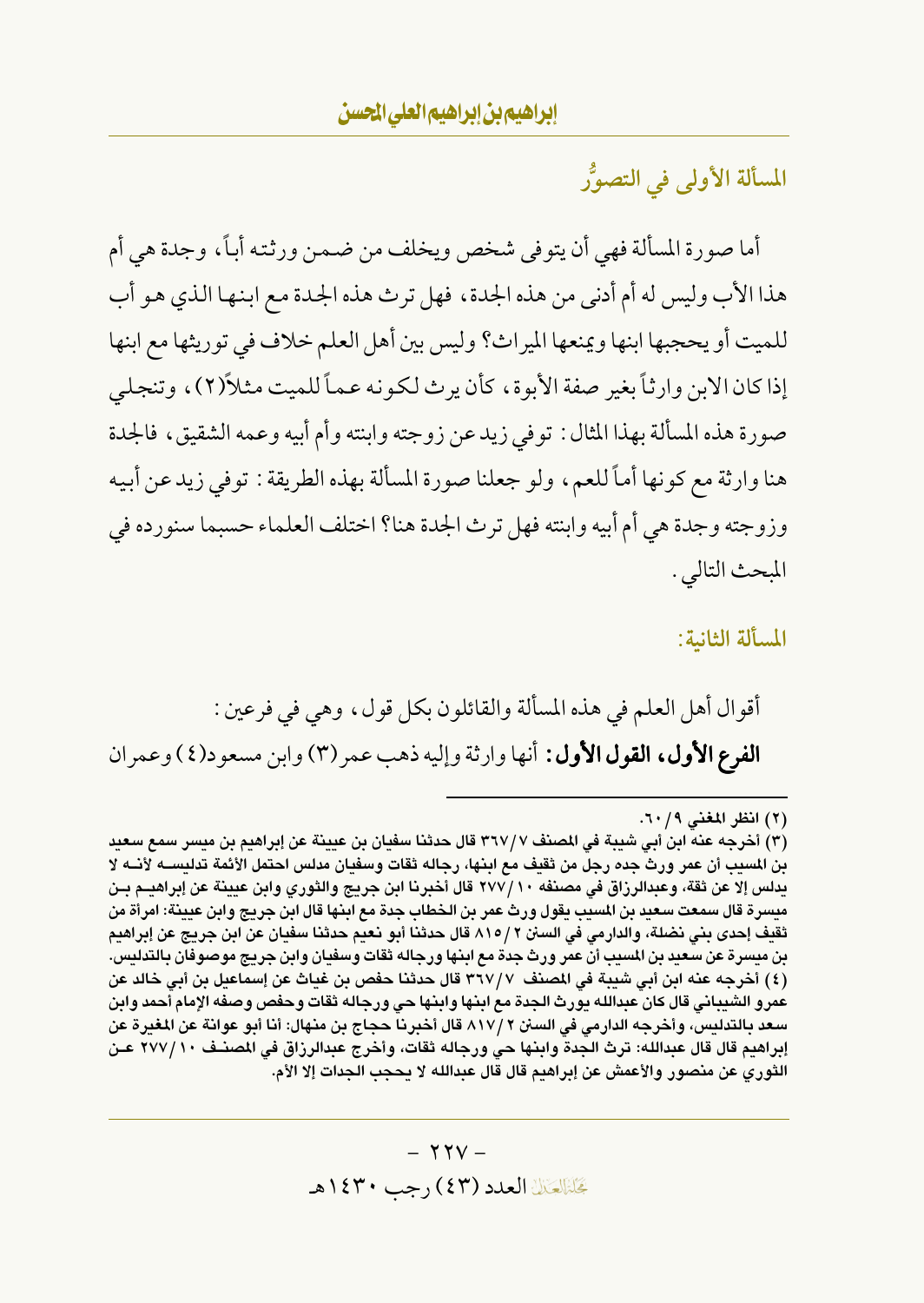المسألة الأولى في التصوُّر

أما صورة المسألة فهي أن يتوفى شخص ويخلف من ضمن ورثته أباً، وجدة هي أم هذا الأب وليس له أم أدنى من هذه الجدة، فهل ترث هذه الجدة مع ابنها الذي هو أب للميت أو يحجبها ابنها ويمنعها الميراث؟ وليس بين أهل العلم خلاف في توريثها مع ابنها إذا كان الابن وارثاً بغير صفة الأبوة، كأن يرث لكونه عماً للميت مثلاً(٢)، وتنجلي صورة هذه المسألة بهذا المثال : توفى زيد عن زوجته وابنته وأم أبيه وعمه الشقيق، فالجدة هنا وارثة مع كونها أماً للعم، ولو جعلنا صورة المسألة بهذه الطريقة : توفى زيد عن أبيه وزوجته وجدة هي أم أبيه وابنته فهل ترث الجدة هنا؟ اختلف العلماء حسبما سنورده في المبحث التالي .

المسألة الثانية:

أقوال أهل العلم في هذه المسألة والقائلون بكل قول، وهي في فرعين : الفرع الأول، القول الأول: أنها وارثة وإليه ذهب عمر (٣) وابن مسعود(٤) وعمران

<sup>(</sup>٢) انظر المغنى ٦٠/٩.

<sup>(</sup>٣) أخرجه عنه ابن أبي شيبة في المصنف ٣٦٧/٧ قال حدثنا سفيان بن عيينة عن إبراهيم بن ميسر سمع سعيد بن المسيب أن عمر ورث جده رجل من ثقيف مع ابنها، رجاله ثقات وسفيان مدلس احتمل الأئمة تدليســــه لأنـــه لا يدلس إلا عن ثقة، وعبدالرزاق في مصنفه ٢٧٧/١٠ قال أخبرنا ابن جريج والثوري وابن عيينة عن إبراهيـم بـن ميسرة قال سمعت سعيد بن المسيب يقول ورث عمر بن الخطاب جدة مع ابنها قال ابن جريج وابن عيينة: امرأة من ثقيف إحدى بني نضلة، والدارمي في السنن ٢ / ٨١٥ قال حدثنا أبو نعيم حدثنا سفيان عن ابن جريج عن إبراهيم بن ميسرة عن سعيد بن المسيب أن عمر ورث جدة مع ابنها ورجاله ثقات وسفيان وابن جريج موصوفان بالتدليس. (٤) أخرجه عنه ابن أبي شيبة في المصنف ٣٦٧/٧ قال حدثنا حفص بن غياث عن إسماعيل بن أبي خالد عن عمرو الشيباني قال كان عبدالله يورث الجدة مع ابنها وابنها حي ورجاله ثقات وحفص وصفه الإمام أحمد وابن سعد بالتدليس، وأخرجه الدارمي في السنن ٢ /٨١٧ قال أخبرنا حجاج بن منهال: أنا أبو عوانة عن المغيرة عن إبراهيم قال قال عبدالله: ترث الجدة وابنها حي ورجاله ثقات، وأخرج عبدالرزاق في المصنــف ٢٧٧/١٠ عــن الثوري عن منصور والأعمش عن إبراهيم قال قال عبدالله لا يحجب الجدات إلا الأم.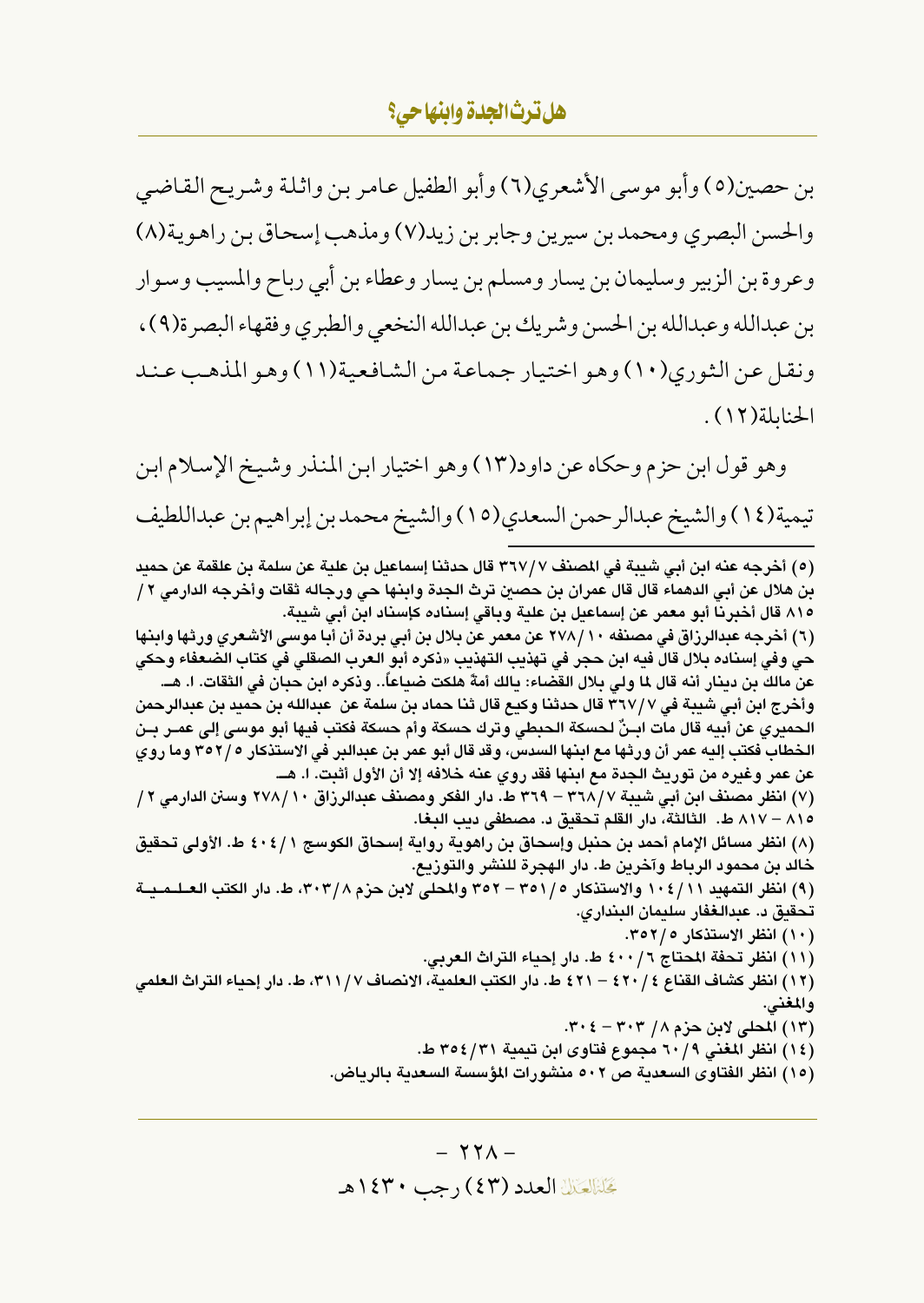بن حصين(٥) وأبو موسى الأشعري(٦) وأبو الطفيل عامر بن واثلة وشريح القاضي والحسن البصري ومحمد بن سيرين وجابر بن زيد(٧) ومذهب إسحاق بن راهوية(٨) وعروة بن الزبير وسليمان بن يسار ومسلم بن يسار وعطاء بن أبي رباح والمسيب وسوار بن عبدالله وعبدالله بن الحسن وشريك بن عبدالله النخعي والطبري وفقهاء البصرة(٩)، ونقل عن الثوري(١٠) وهو اختيار جماعة من الشافعية(١١) وهو المذهب عند الحنابلة (١٢).

وهو قول ابن حزم وحكاه عن داود(١٣) وهو اختيار ابن المنذر وشيخ الإسلام ابن تيمية(١٤) والشيخ عبدالرحمن السعدي(١٥) والشيخ محمد بن إبراهيم بن عبداللطيف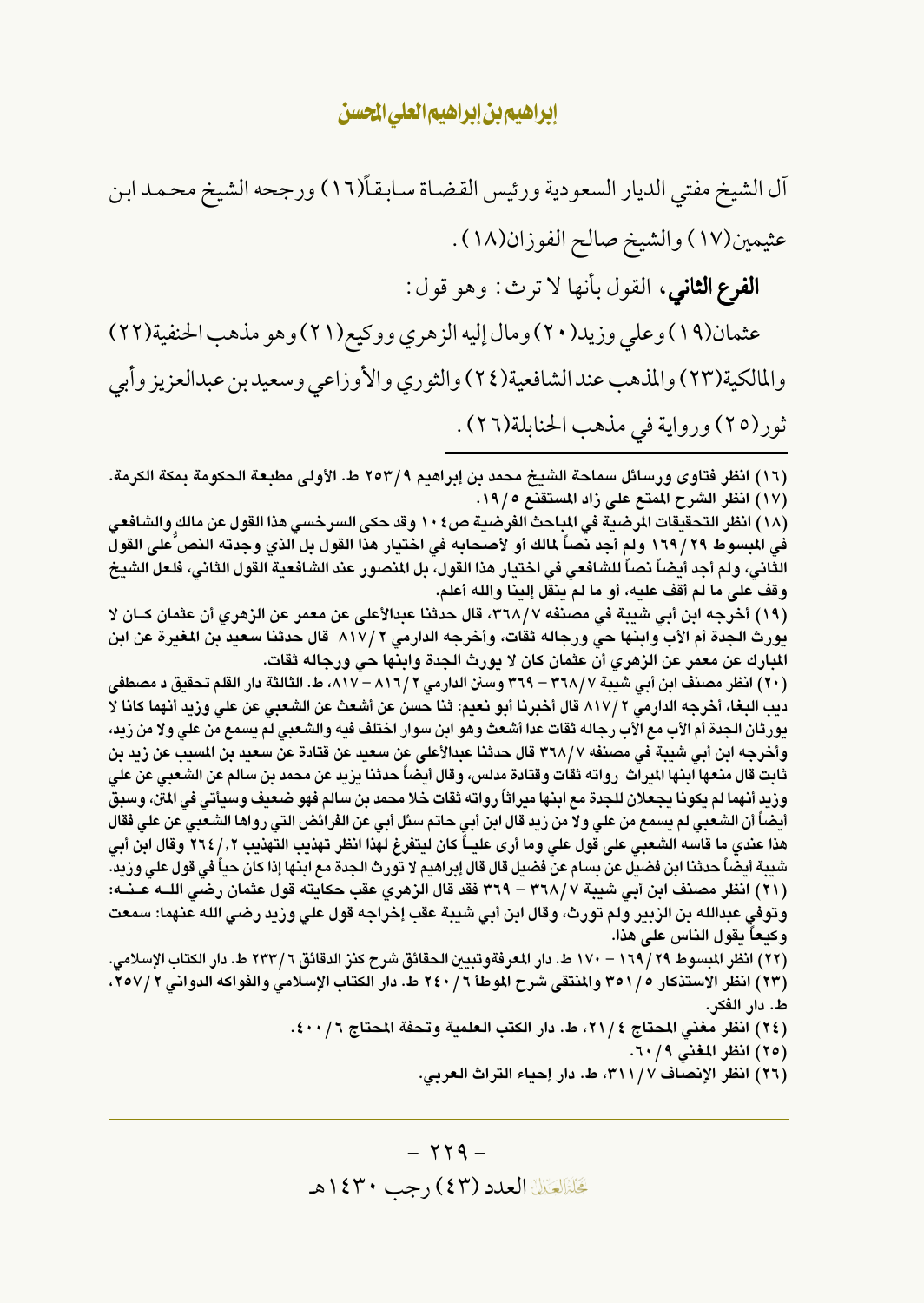آل الشيخ مفتى الديار السعودية ورئيس القضاة سابقاً(١٦) ورجحه الشيخ محمد ابن عثيمين(١٧) والشيخ صالح الفوزان(١٨) . **الفرع الثاني**، القول بأنها لا ترث : وهو قول : عثمان(١٩) وعلي وزيد(٢٠) ومال إليه الزهري ووكيع(٢١) وهو مذهب الحنفية(٢٢) والمالكية(٢٣) والمذهب عند الشافعية(٢٤) والثوري والأوزاعي وسعيد بن عبدالعزيز وأبي ثور(٢٥) ورواية في مذهب الحنابلة(٢٦).

(١٦) انظر فتاوى ورسائل سماحة الشيخ محمد بن إبراهيم ٩/ ٢٥٣ ط. الأولى مطبعة الحكومة بمكة الكرمة. (١٧) انظر الشرح الممتع على زاد المستقنع ١٩/٥.

(١٨) انظر التحقيقات المرضية في المباحث الفرضية ص٢٠٤ وقد حكى السرخسي هذا القول عن مالك والشافعي في المبسوط ٢٩ / ١٦٩ ولم أجد نصاً لمالك أو لأصحابه في اختيار هذا القول بل الذي وجدته النص على القول الثانى، ولم أجد أيضاً نصاً للشافعي في اختيار هذا القول، بل المنصور عند الشافعية القول الثاني، فلعل الشيخ وقف على ما لم أقف عليه، أو ما لم ينقل إلينا والله أعلم.

(١٩) أخرجه ابن أبي شيبة في مصنفه ٣٦٨/٧، قال حدثنا عبدالأعلى عن معمر عن الزهري أن عثمان كــان لا يورث الجدة أم الأب وابنها حي ورجاله ثقات، وأخرجه الدارمي ٢ /١٧ قال حدثنا سعيد بن المغيرة عن ابن المبارك عن معمر عن الزهري أن عثمان كان لا يورث الجدة وابنها حي ورجاله ثقات.

(٢٠) انظر مصنف ابن أبي شيبة ٣٦٨/٧ – ٣٦٩ وسنن الدارمي ٢ / ٨١٦ – ٨١٧، ط. الثالثة دار القلم تحقيق د مصطفى ديب البغا، أخرجه الدارمي ٢ /٨١٧ قال أخبرنا أبو نعيم: ثنا حسن عن أشعث عن الشعبي عن على وزيد أنهما كانا لا يورثان الجدة أم الأب مع الأب رجاله ثقات عدا أشعث وهو ابن سوار اختلف فيه والشعبي لم يسمع من على ولا من زيد، وأخرجه ابن أبي شيبة في مصنفه ٣٦٨/٧ قال حدثنا عبدالأعلى عن سعيد عن قتادة عن سعيد بن المسيب عن زيد بن ثابت قال منعها ابنها الميراث رواته ثقات وقتادة مدلس، وقال أيضاً حدثنا يزيد عن محمد بن سالم عن الشعبي عن على وزيد أنهما لم يكونا يجعلان للجدة مع ابنها ميراثاً رواته ثقات خلا محمد بن سالم فهو ضعيف وسيأتي في المن، وسبق أيضاً أن الشعبي لم يسمع من علي ولا من زيد قال ابن أبي حاتم سئل أبي عن الفرائض التى رواها الشعبى عن على فقال هذا عندي ما قاسه الشعبي علي قول علي وما أرى عليــاً كان ليتفرغ لهذا انظر تهذيب التهذيب ٢٦٤/,٢ وقال ابن أبي شيبة أيضاً حدثنا ابن فضيل عن بسام عن فضيل قال قال إبراهيم لا تورث الجدة مع ابنها إذا كان حياً في قول على وزيد. (٢١) انظر مصنف ابن أبي شيبة ٣٦٨/٧ – ٣٦٩ فقد قال الزهري عقب حكايته قول عثمان رضي اللــه عــنــه: وتوفى عبدالله بن الزبير ولم تورث، وقال ابن أبي شيبة عقب إخراجه قول على وزيد رضى الله عنهما: سمعت وكيعاً يقول الناس على هذا.

(٢٢) انظر المبسوط ٢٩ / ١٦٩ – ١٧٠ ط. دار المعرفةوتبيين الحقائق شرح كنز الدقائق ٢ / ٢٣٣ ط. دار الكتاب الإسلامي. (٢٣) انظر الاستذكار ٢٥١/٥ والمنتقى شرح الموطأ ٦ / ٢٤٠ ط. دار الكتاب الإسلامي والفواكه الدواني ٢٥٧/٢، ط. دار الفكر.

(٢٤) انظر مغنى المحتاج ٢١/٤، ط. دار الكتب العلمية وتحفة المحتاج ٤٠٠/١٠.

(٢٥) انظر المغنى ٦٠/٩.

(٢٦) انظر الإنصاف ٣١١/٧، ط. دار إحياء التراث العربي.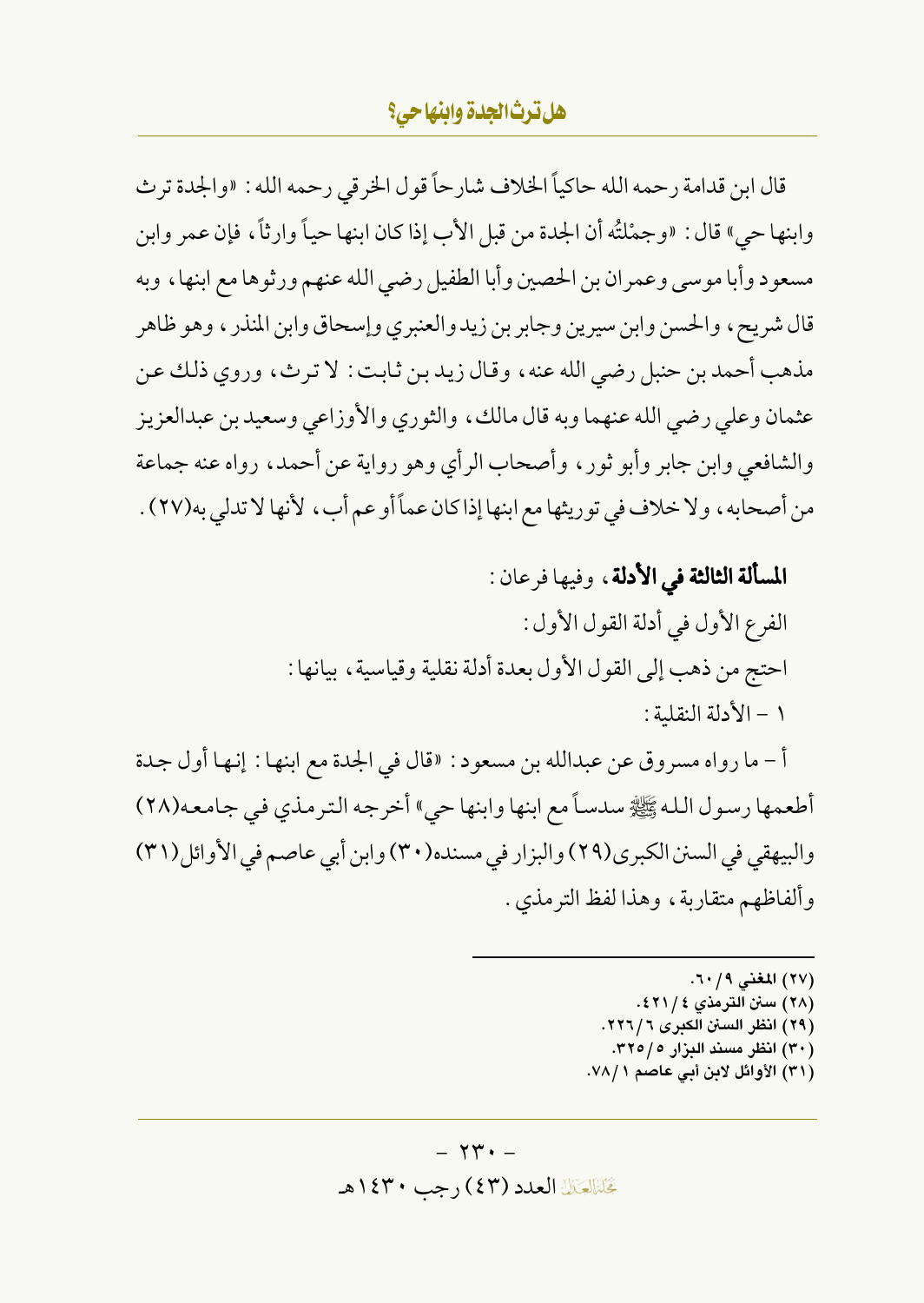قال ابن قدامة رحمه الله حاكياً الخلاف شارحاً قول الخرقي رحمه الله : «والجدة ترث وابنها حي» قال : «وجمْلتُه أن الجدة من قبل الأب إذا كان ابنها حياً وارثاً، فإن عمر وابن مسعود وأبا موسى وعمران بن الحصين وأبا الطفيل رضي الله عنهم ورثوها مع ابنها ، وبه قال شريح، والحسن وابن سيرين وجابر بن زيد والعنبري وإسحاق وابن المنذر ، وهو ظاهر مذهب أحمد بن حنبل رضي الله عنه ، وقال زيد بن ثابت : لا ترث ، وروى ذلك عن عثمان وعلى رضي الله عنهما وبه قال مالك، والثوري والأوزاعي وسعيد بن عبدالعزيز والشافعي وابن جابر وأبو ثور ، وأصحاب الرأي وهو رواية عن أحمد ، رواه عنه جماعة من أصحابه، ولا خلاف في توريثها مع ابنها إذا كان عماً أو عم أب، لأنها لا تدلى به(٢٧) .

## المسألة الثالثة في الأدلة، وفيها فرعان:

الفرع الأول في أدلة القول الأول : احتج من ذهب إلى القول الأول بعدة أدلة نقلية وقياسية، بيانها : ١ - الأدلة النقلية :

أ - ما رواه مسروق عن عبدالله بن مسعود : «قال في الجدة مع ابنها : إنها أول جدة أطعمها رسول الله ﷺ سدساً مع ابنها وابنها حي " أخرجه الترمذي في جامعه(٢٨) والبيهقي في السنن الكبرى(٢٩) والبزار في مسنده(٣٠) وابن أبي عاصم في الأوائل(٣١) وألفاظهم متقاربة، وهذا لفظ الترمذي.

> (٢٧) المغنى ٢٠/٩. (٢٨) سنن الترمذي ٤ / ٤٢١ . (٢٩) انظر السنن الكبرى ٦ / ٢٢٦. (۳۰) انظر مسند البزار ۲۲۰/۰. (٣١) الأوائل لابن أبي عاصم ٧٨/١.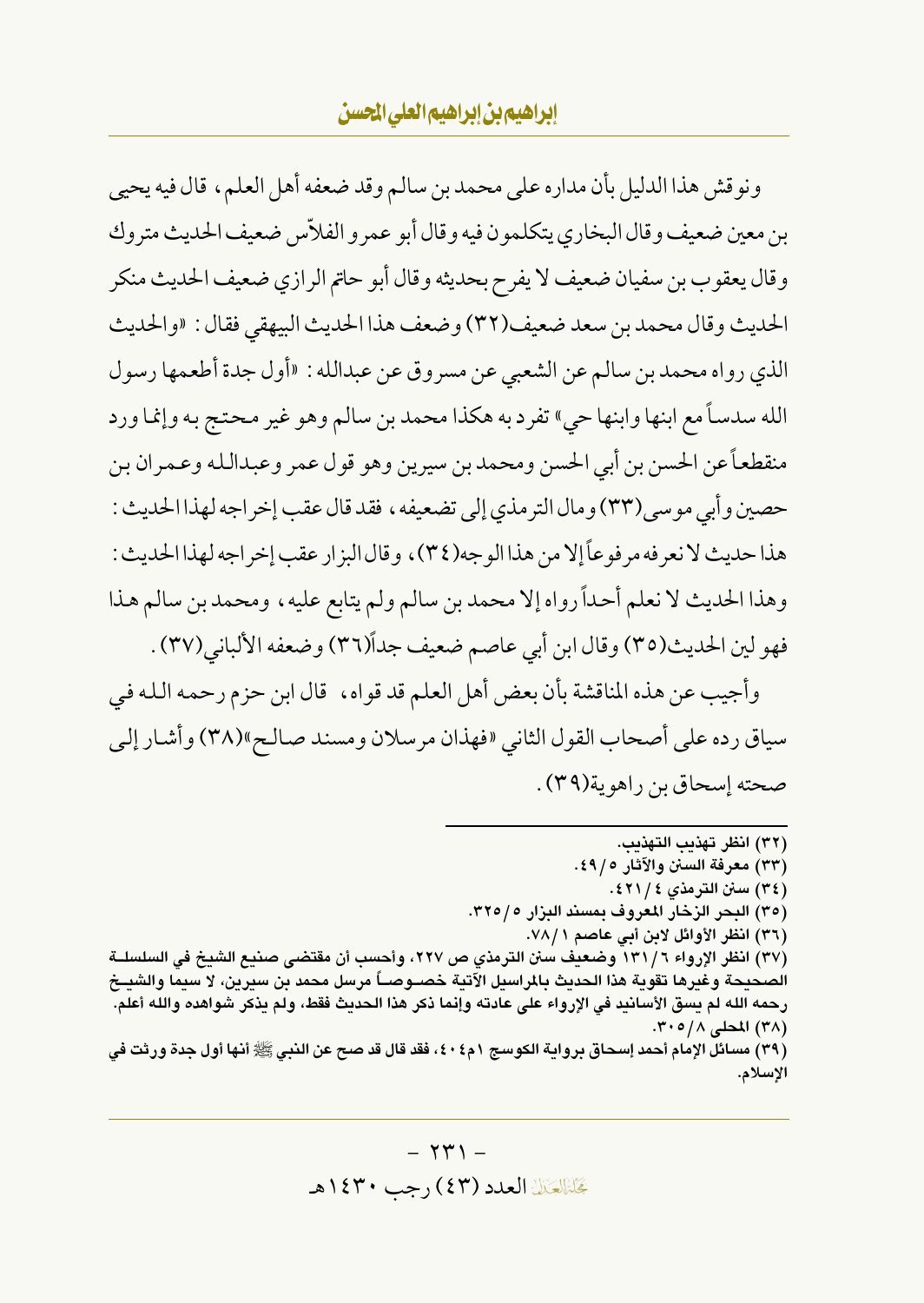ونو قش هذا الدليل بأن مداره على محمد بن سالم وقد ضعفه أهل العلم، قال فيه يحيى بن معين ضعيف وقال البخاري يتكلمون فيه وقال أبو عمرو الفلاّس ضعيف الحديث متروك وقال يعقوب بن سفيان ضعيف لا يفرح بحديثه وقال أبو حاتم الرازي ضعيف الحديث منكر الحديث وقال محمد بن سعد ضعيف(٣٢) وضعف هذا الحديث البيهقي فقال : «والحديث الذي رواه محمد بن سالم عن الشعبي عن مسروق عن عبدالله : «أول جدة أطعمها رسول الله سدسـاً مع ابنها وابنها حيٍّ تفرد به هكذا محمد بن سالم وهو غير محتج به وإنما ورد منقطعاً عن الحسن بن أبي الحسن ومحمد بن سيرين وهو قول عمر وعبدالله وعمران بن حصين وأبي موسى(٣٣) ومال الترمذي إلى تضعيفه ، فقد قال عقب إخراجه لهذا الحديث : هذا حديث لا نعرفه مرفوعاً إلا من هذا الوجه(٣٤)، وقال البزار عقب إخراجه لهذا الحديث : وهذا الحديث لا نعلم أحداً رواه إلا محمد بن سالم ولم يتابع عليه ، ومحمد بن سالم هذا فهو لين الحديث(٣٥) وقال ابن أبي عاصم ضعيف جداً(٣٦) وضعفه الألباني(٣٧) .

وأجيب عن هذه المناقشة بأن بعض أهل العلم قد قواه، ۖ قال ابن حزم رحمه الله في سياق رده على أصحاب القول الثاني «فهذان مرسلان ومسند صالح»(٣٨) وأشار إلى صحته إسحاق بن راهوية(٣٩) .

(٣٢) انظر تهذيب التهذيب. (٣٣) معرفة السنن والآثار ٤٩/٥. (٣٤) سنن الترمذي ٤٢١/٤. (٣٥) البحر الزخار المعروف بمسند البزار ٢٢٥/٥. (٣٦) انظر الأوائل لابن أبي عاصم ٧٨/١. (٣٧) انظر الإرواء ١٣١/٦ وضعيف سنن الترمذي ص ٢٢٧، وأحسب أن مقتضى صنيع الشيخ في السلسلــة الصحيحة وغيرها تقوية هذا الحديث بالمراسيل الآتية خصـوصــاً مرسل محمد بن سيرين، لا سيما والشيــخ رحمه الله لم يسق الأسانيد في الإرواء على عادته وإنما ذكر هذا الحديث فقط، ولم يذكر شواهده والله أعلم. (٣٨) المحلي ٢٠٥/٨. (٣٩) مسائل الإمام أحمد إسحاق برواية الكوسج ١ م٤ ٤٠، فقد قال قد صح عن النبي ﷺ أنها أول جدة ورثت في الاسلام.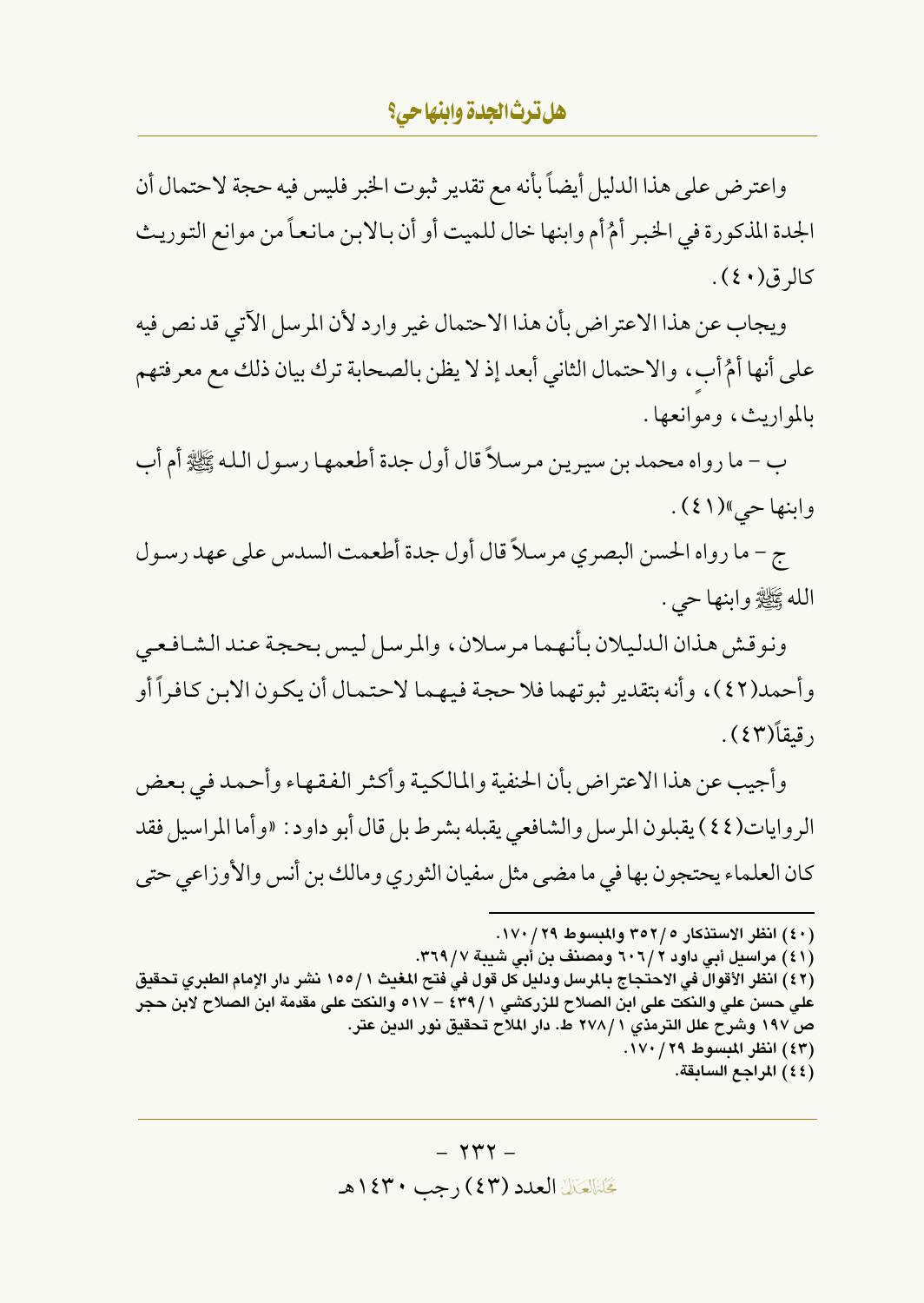واعترض على هذا الدليل أيضاً بأنه مع تقدير ثبوت الخبر فليس فيه حجة لاحتمال أن الجدة المذكورة في الخبر أمُ أم وابنها خال للميت أو أن بالابن مانعاً من موانع التوريث کالر ق(٤٠).

ويجاب عن هذا الاعتراض بأن هذا الاحتمال غير وارد لأن المرسل الآتي قد نص فيه على أنها أمُ أب، والاحتمال الثاني أبعد إذ لا يظن بالصحابة ترك بيان ذلك مع معرفتهم بالمواريث، وموانعها.

ب – ما رواه محمد بن سيرين مرسلاً قال أول جدة أطعمها رسول الله ﷺ أم أب وابنها حي»(٤١).

ج – ما رواه الحسن البصري مرسلاً قال أول جدة أطعمت السدس على عهد رسول الله ﷺ وابنها حي .

ونوقش هذان الدليلان بأنهما مرسلان، والمرسل ليس بحجة عند الشافعي وأحمد(٤٢)، وأنه بتقدير ثبوتهما فلا حجة فيهما لاحتمال أن يكون الابن كافراً أو , قىقاً(٤٣) .

وأجيب عن هذا الاعتراض بأن الحنفية والمالكية وأكثر الفقهاء وأحمد في بعض الروايات(٤٤) يقبلون المرسل والشافعي يقبله بشرط بل قال أبو داود : «وأما المراسيل فقد كان العلماء يحتجون بها في ما مضيي مثل سفيان الثوري ومالك بن أنس والأوزاعي حتى

(٤٢) انظر الأقوال في الاحتجاج بالمرسل ودليل كل قول في فتح المغيث ١٥٥/١ نشر دار الإمام الطبري تحقيق على حسن على والنكت على ابن الصلاح للزركشي ١ / ٤٣٩ – ٥١٧ والنكت على مقدمة ابن الصلاح لابن حجر ص ١٩٧ وشرح علل الترمذي ٢٧٨/١ ط. دار الملاح تحقيق نور الدين عتر. (٤٣) انظر المبسوط ١٧٠/٢٩. (٤٤) المراجع السابقة.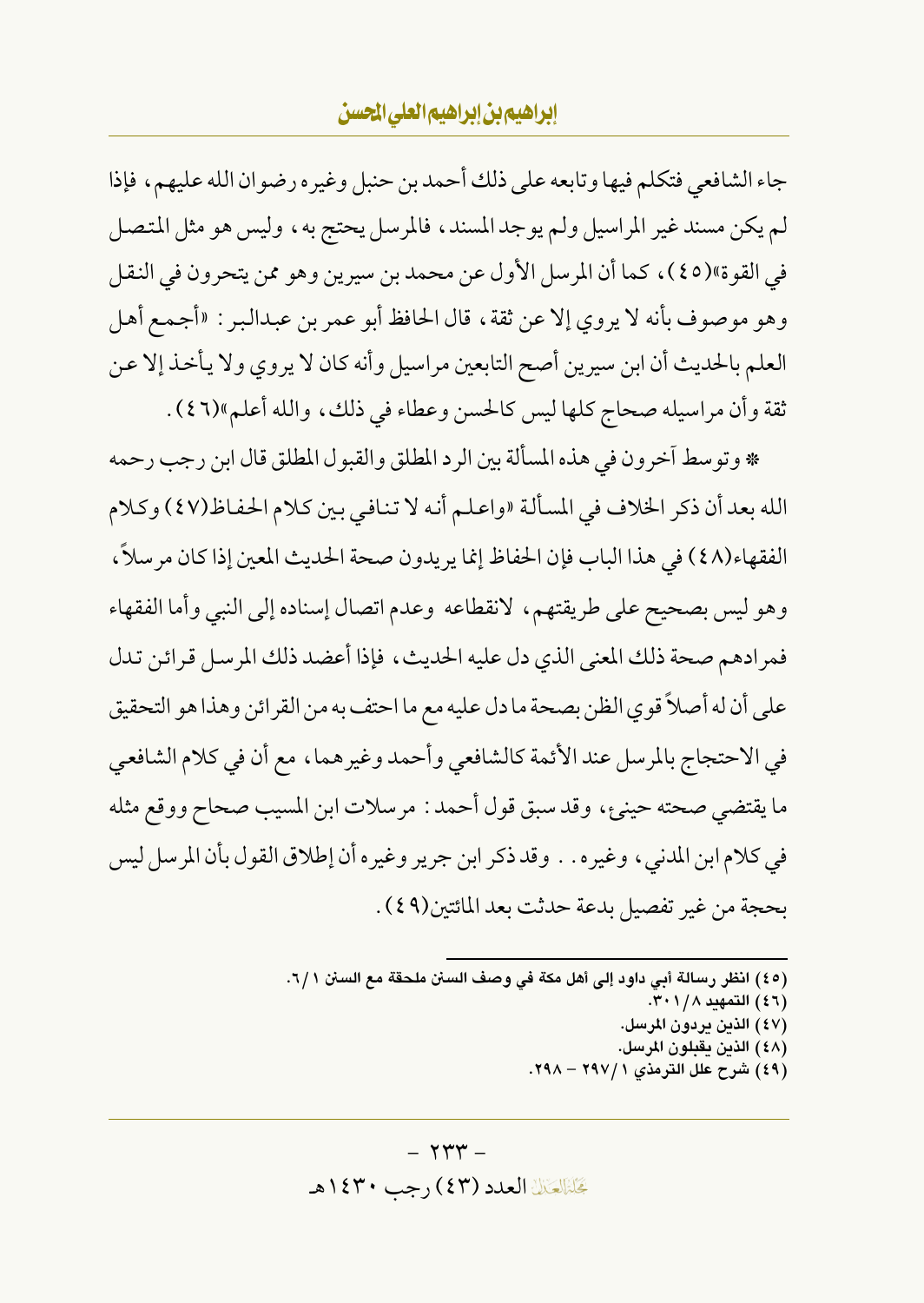## إيراهيم بن إيراهيم العلى الحسن

جاء الشافعي فتكلم فيها وتابعه على ذلك أحمد بن حنبل وغير ه رضوان الله عليهم، فإذا لم يكن مسند غير المراسيل ولم يوجد المسند، فالمرسل يحتج به، وليس هو مثل المتصل في القوة»(٤٥)، كما أن المرسل الأول عن محمد بن سيرين وهو ممن يتحرون في النقل وهو موصوف بأنه لا يروي إلا عن ثقة ، قال الحافظ أبو عمر بن عبدالبر : «أجمع أهل العلم بالحديث أن ابن سيرين أصح التابعين مراسيل وأنه كان لا يروي ولا يأخذ إلا عن ثقة وأن مراسيله صحاج كلها ليس كالحسن وعطاء في ذلك، والله أعلم»(٤٦).

\* وتوسط آخرون في هذه المسألة بين الرد المطلق والقبول المطلق قال ابن رجب رحمه الله بعد أن ذكر الخلاف في المسألة «واعلم أنه لا تنافي بين كلام الحفاظ(٤٧) وكلام الفقهاء(٤٨) في هذا الباب فإن الحفاظ إنما يريدون صحة الحديث المعين إذا كان مر سلاً ، وهو ليس بصحيح على طريقتهم، لانقطاعه وعدم اتصال إسناده إلى النبي وأما الفقهاء فمرادهم صحة ذلك المعنى الذي دل عليه الحديث، فإذا أعضد ذلك المرسل قرائن تدل على أن له أصلاً قوى الظن بصحة ما دل عليه مع ما احتف به من القرائن وهذا هو التحقيق في الاحتجاج بالمرسل عند الأئمة كالشافعي وأحمد وغيرهما، مع أن في كلام الشافعي ما يقتضي صحته حينيء، وقد سبق قول أحمد : مرسلات ابن المسيب صحاح ووقع مثله في كلام ابن المدنى، وغيره . . وقد ذكر ابن جرير وغيره أن إطلاق القول بأن المرسل ليس بحجة من غير تفصيل بدعة حدثت بعد المائتين(٤٩) .

> (٤٥) انظر رسالة أبي داود إلى أهل مكة في وصف السنن ملحقة مع السنن ٦/١. (٤٦) التمهيد ٢٠١/٨. (٤٧) الذين يردون المرسل. (٤٨) الذين يقبلون المرسل. (٤٩) شرح علل الترمذي ٢ / ٢٩٧ - ٢٩٨.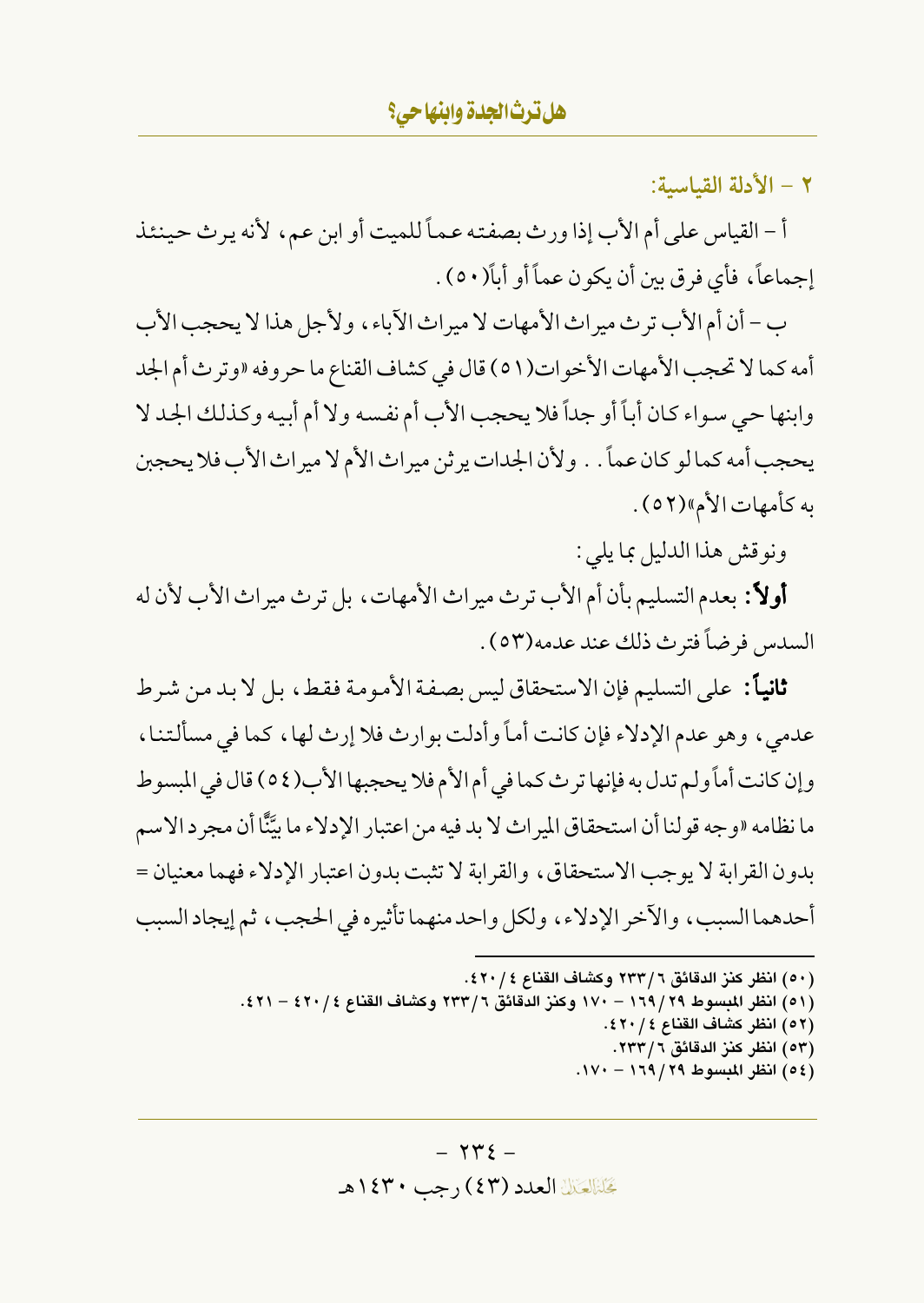٢ - الأدلة القياسية:

أ – القياس على أم الأب إذا ورث بصفته عماً للميت أو ابن عم، لأنه يرث حينئذ إجماعاً، فأي فرق بين أن يكون عماً أو أباً(٥٠) .

ب – أن أم الأب تر ث ميراث الأمهات لا ميراث الآباء ، ولأجل هذا لا يحجب الأب أمه كما لا تحجب الأمهات الأخوات(٥١) قال في كشاف القناع ما حروفه «وترث أم الجد وابنها حي سواء كان أباً أو جداً فلا يحجب الأب أم نفسه ولا أم أبيه وكذلك الجد لا يحجب أمه كما لو كان عماً . . ولأن الجدات يرثن ميراث الأم لا ميراث الأب فلا يحجبن به كأمهات الأم»(٥٢ ) .

ونوقش هذا الدليل بما يلي :

أولاً: بعدم التسليم بأن أم الأب ترث ميراث الأمهات، بل ترث ميراث الأب لأن له السدس فرضاً فتر ث ذلك عند عدمه(٥٣) .

ثانياً: على التسليم فإن الاستحقاق ليس بصفة الأمومة فقط، بل لا بد من شرط عدمي، وهو عدم الإدلاء فإن كانت أماً وأدلت بوارث فلا إرث لها، كما في مسألتنا، وإن كانت أماً ولم تدل به فإنها ترث كما في أم الأم فلا يحجبها الأب(٥٤) قال في المبسوط ما نظامه «وجه قولنا أن استحقاق الميراث لا بد فيه من اعتبار الإدلاء ما بيَّنَّا أن مجرد الاسم بدون القرابة لا يوجب الاستحقاق، والقرابة لا تثبت بدون اعتبار الإدلاء فهما معنيان = أحدهما السبب، والآخر الإدلاء، ولكل واحد منهما تأثيره في الحجب، ثم إيجاد السبب

(٥٠) انظر كنز الدقائق ٢٣٣/٦ وكشاف القناع ٤٢٠/٤٢٠. (٥١) انظر المبسوط ٢٩/ ١٦٩ – ١٧٠ وكنز الدقائق ٢ / ٢٣٣ وكشاف القناع ٤ / ٤٢٠ – ٤٢١. (٥٢) انظر كشاف القناع ٢٠/٤٢٠. (٥٣) انظر كنز الدقائق ٢ / ٢٣٣. (6٤) انظر المعسوط ٢٩/٢٩ - ١٧٠.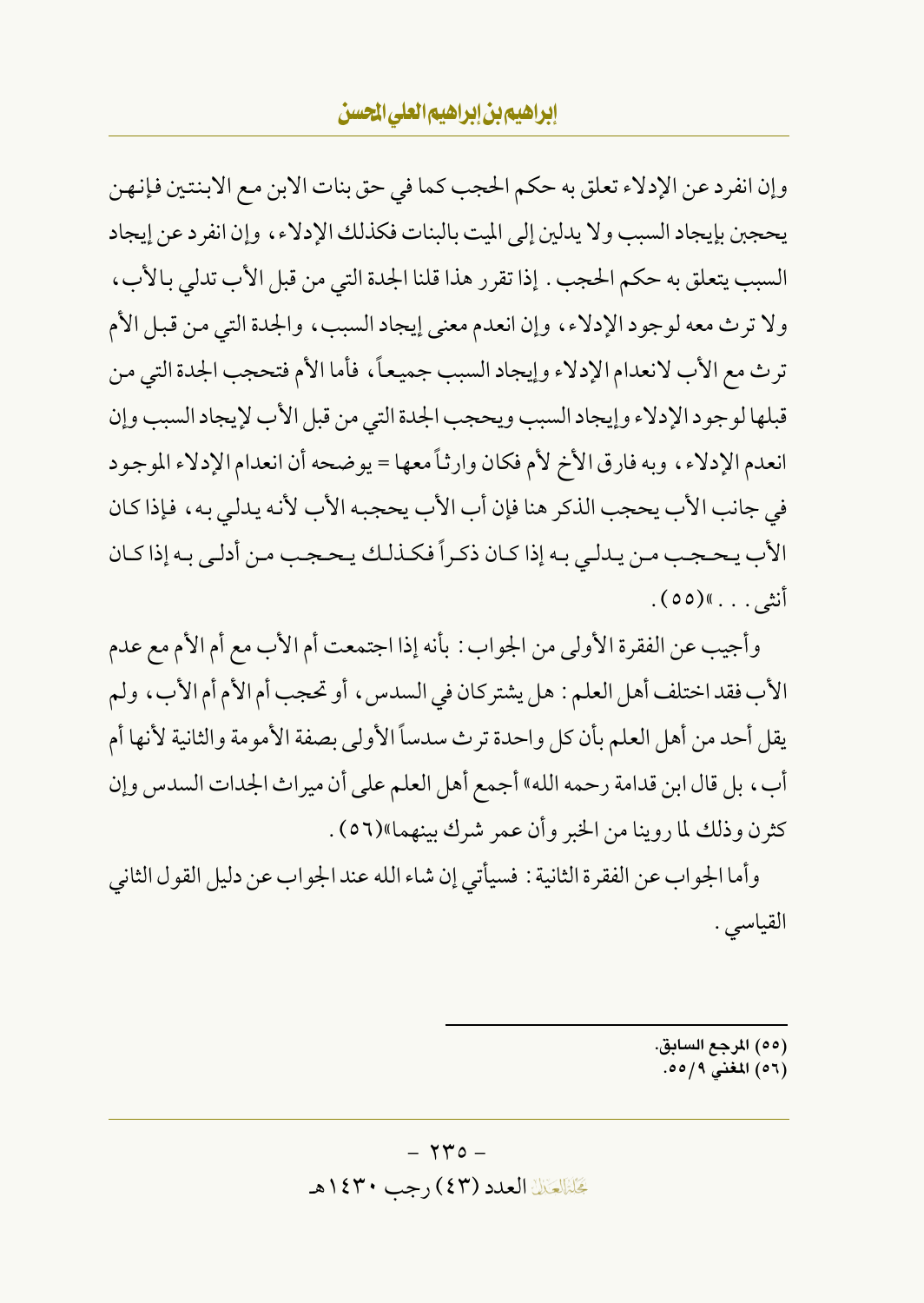وإن انفرد عن الإدلاء تعلق به حكم الحجب كما في حق بنات الابن مع الابنتين فإنهن يحجبن بإيجاد السبب ولا يدلين إلى الميت بالبنات فكذلك الإدلاء، وإن انفرد عن إيجاد السبب يتعلق به حكم الحجب . إذا تقرر هذا قلنا الجدة التي من قبل الأب تدلي بالأب ، ولا ترث معه لوجود الإدلاء، وإن انعدم معنى إيجاد السبب، والجدة التي من قبل الأم ترث مع الأب لانعدام الإدلاء وإيجاد السبب جميعاً، فأما الأم فتحجب الجدة التي من قبلها لوجود الإدلاء وإيجاد السبب ويحجب الجدة التي من قبل الأب لإيجاد السبب وإن انعدم الإدلاء، وبه فارق الأخ لأم فكان وارثاً معها = يوضحه أن انعدام الإدلاء الموجود في جانب الأب يحجب الذكر هنا فإن أب الأب يحجبه الأب لأنه يدلي به، فإذا كان الأب يحجب من يدلي به إذا كان ذكراً فكذلك يحجب من أدلى به إذا كان أنش*ى .* . . . »(٥٥) .

وأجيب عن الفقرة الأولى من الجواب : بأنه إذا اجتمعت أم الأب مع أم الأم مع عدم الأب فقد اختلف أهل العلم : هل يشتر كان في السدس ، أو تحجب أم الأم أم الأب ، ولم يقل أحد من أهل العلم بأن كل واحدة ترث سدساً الأولى بصفة الأمومة والثانية لأنها أم أبٍ، بل قال ابن قدامة رحمه الله» أجمع أهل العلم على أن مير اث الجدات السدس وإن كثرن وذلك لما روينا من الخبر وأن عمر شرك بينهما»(٥٦).

وأما الجواب عن الفقرة الثانية : فسيأتي إن شاء الله عند الجواب عن دليل القول الثاني القياسي .

> (٥٥) المرجع السابق. (٥٦) المغنى ٥/٥٥.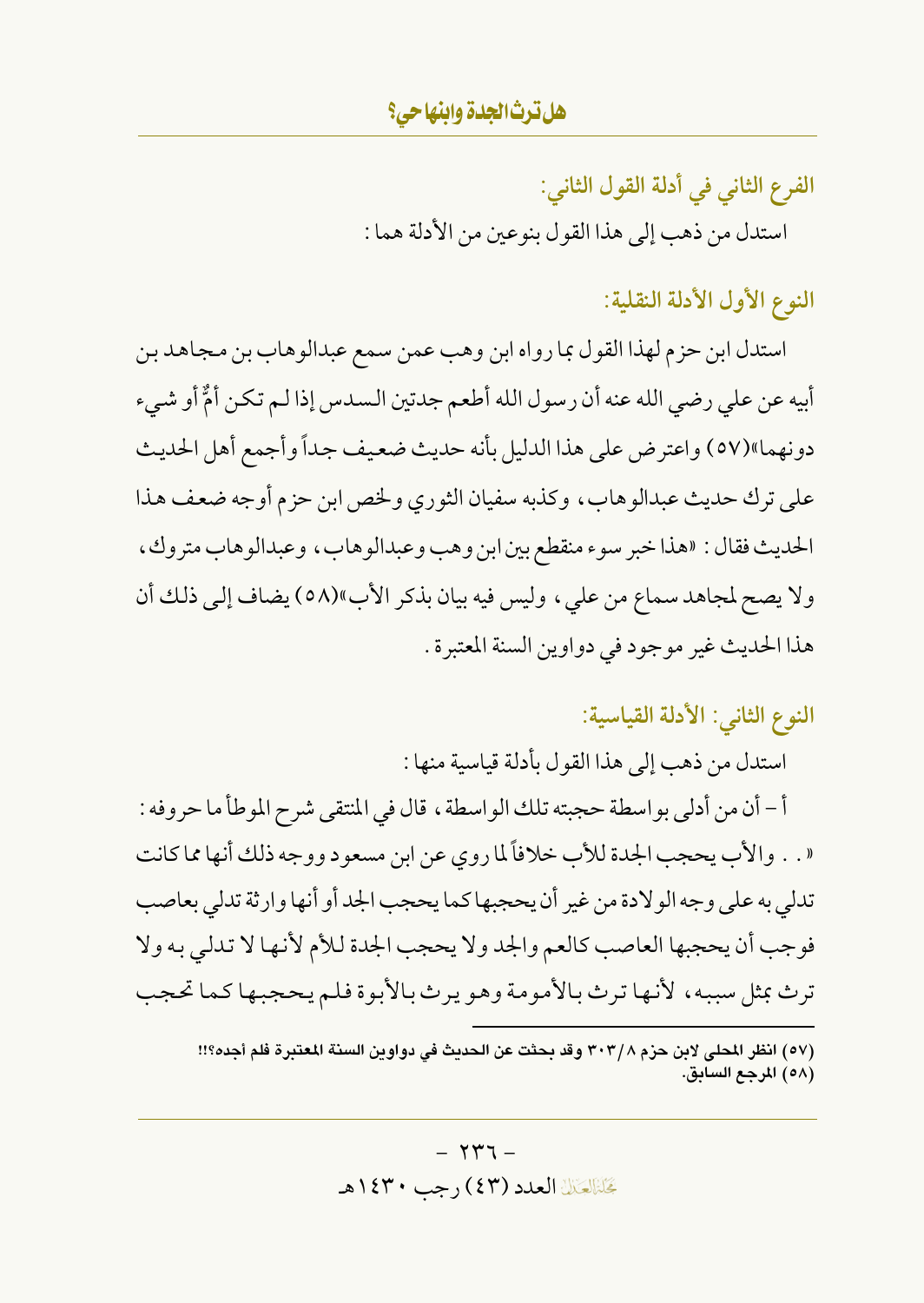الفرع الثاني في أدلة القول الثاني: استدل من ذهب إلى هذا القول بنوعين من الأدلة هما :

النوع الأول الأدلة النقلية:

استدل ابن حزم لهذا القول بما رواه ابن وهب عمن سمع عبدالوهاب بن مجاهد بن أبيه عن على رضي الله عنه أن رسول الله أطعم جدتين السدس إذا لـم تكن أمٌّ أو شيء دونهما»(٥٧) واعترض على هذا الدليل بأنه حديث ضعيف جداً وأجمع أهل الحديث على ترك حديث عبدالوهاب، وكذبه سفيان الثوري ولخص ابن حزم أوجه ضعف هذا الحديث فقال : «هذا خبر سوء منقطع بين ابن وهب وعبدالوهاب ، وعبدالوهاب متروك ، ولا يصح لمجاهد سماع من علي ، وليس فيه بيان بذكر الأب»(٥٨) يضاف إلى ذلك أن هذا الحديث غير موجود في دواوين السنة المعتبرة .

النوع الثاني: الأدلة القياسية:

استدل من ذهب إلى هذا القول بأدلة قياسية منها :

أ – أن من أدلى بو اسطة حجبته تلك الو اسطة ، قال في المنتقى شرح المو طأ ما حروفه : « . . والأب يحجب الجدة للأب خلافاً لما روى عن ابن مسعود ووجه ذلك أنها مما كانت تدلي به على وجه الو لادة من غير أن يحجبها كما يحجب الجد أو أنها وإرثة تدلى بعاصب فوجب أن يحجبها العاصب كالعم والجد ولا يحجب الجدة للأم لأنها لا تدلى به ولا ترث بمثل سببه، لأنها ترث بالأمومة وهو يرث بالأبوة فلم يحجبها كما تحجب

<sup>(</sup>٥٧) انظر المحلي لابن حزم ٣٠٣/٨ وقد بحثت عن الحديث في دواوين السنة المعتبرة فلم أجده؟!! (٥٨) المرجع السابق.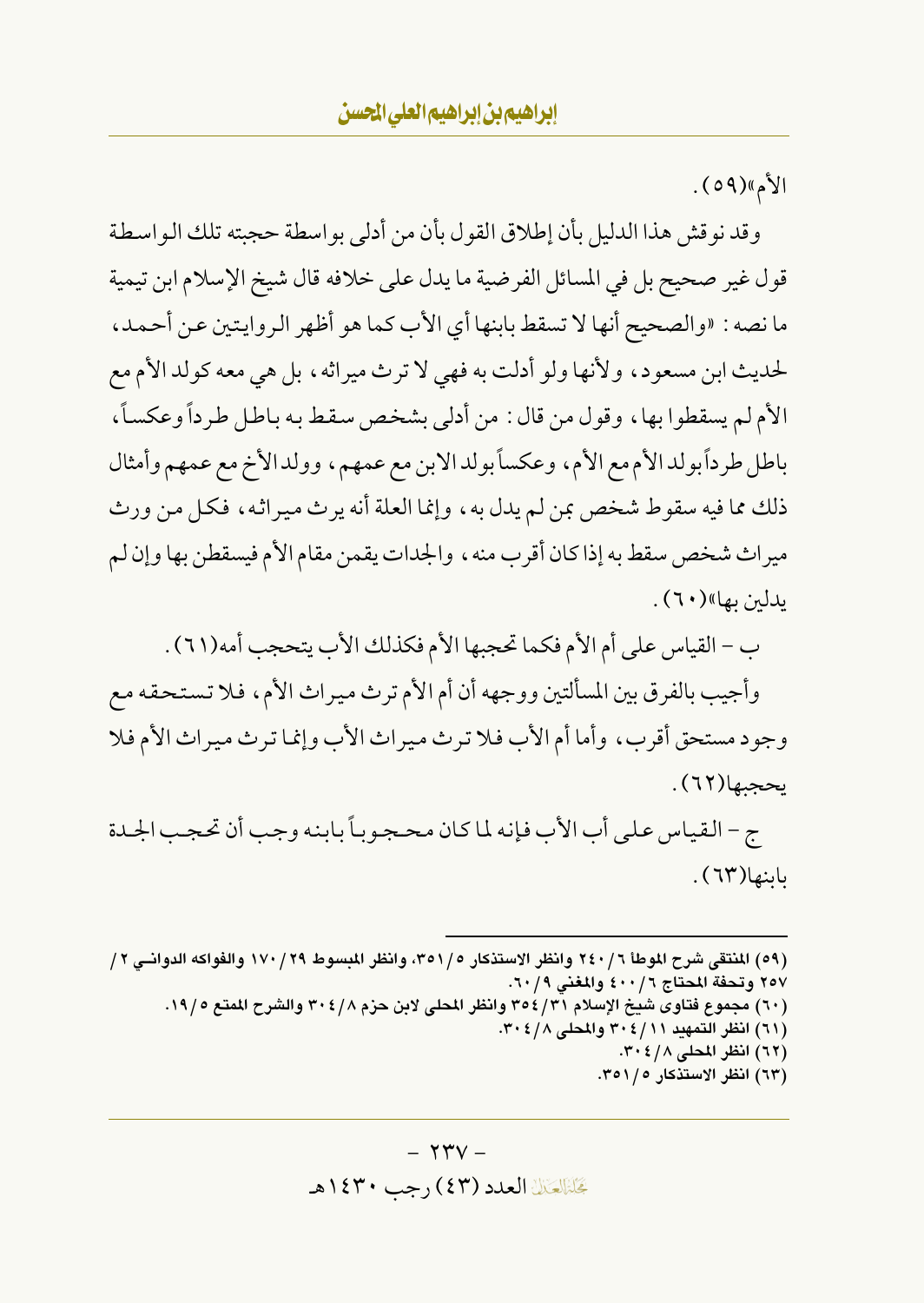الأم»(٥٩).

وقد نو قش هذا الدليل بأن إطلاق القول بأن من أدلى بو اسطة حجبته تلك الو اسطة قول غير صحيح بل في المسائل الفرضية ما يدل على خلافه قال شيخ الإسلام ابن تيمية ما نصه : «والصحيح أنها لا تسقط بابنها أي الأب كما هو أظهر الروايتين عن أحمد، لحديث ابن مسعود، ولأنها ولو أدلت به فهي لا ترث ميراثه، بل هي معه كولد الأم مع الأم لم يسقطوا بها، وقول من قال : من أدلى بشخص سقط به باطل طرداً وعكساً، باطل طرداً بولد الأم مع الأم، وعكساً بولد الابن مع عمهم، وولد الأخ مع عمهم وأمثال ذلك مما فيه سقوط شخص بمن لم يدل به ، وإنما العلة أنه يرث ميراثه ، فكل من ورث ميراث شخص سقط به إذا كان أقرب منه ، والجدات يقمن مقام الأم فيسقطن بها وإن لم ىدلىن بھا»(٢٠).

ب – القياس على أم الأم فكما تحجبها الأم فكذلك الأب يتحجب أمه(٦١) .

وأجيب بالفرق بين المسألتين ووجهه أن أم الأم ترث ميراث الأم، فلا تستحقه مع وجود مستحق أقرب، وأما أم الأب فلا ترث ميراث الأب وإنما ترث ميراث الأم فلا يحجبها(٦٢).

ج - القياس على أب الأب فإنه لما كان محجوباً بابنه وجب أن تحجب الجحدة باينها(٦٣).